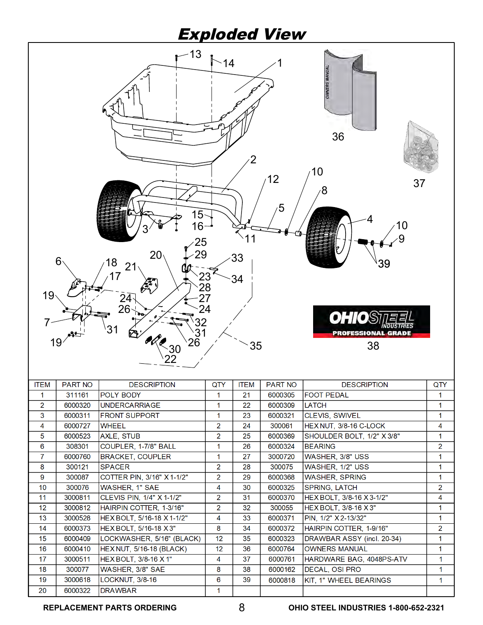# Exploded View



**DRAWBAR** 

**REPLACEMENT PARTS ORDERING OHIO STEEL INDUSTRIES 1-800-652-2321**

 $\overline{1}$